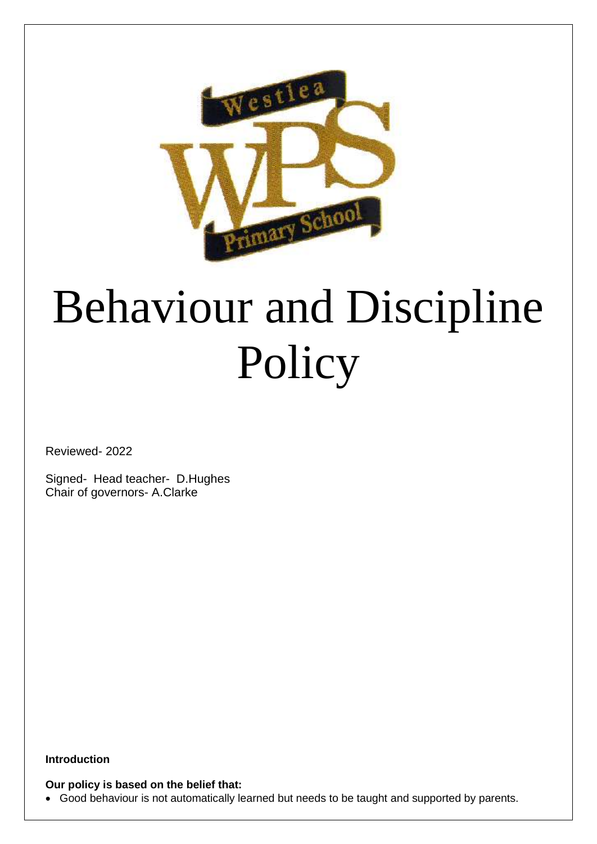

# Behaviour and Discipline Policy

Reviewed- 2022

Signed- Head teacher- D.Hughes Chair of governors- A.Clarke

**Introduction**

## **Our policy is based on the belief that:**

• Good behaviour is not automatically learned but needs to be taught and supported by parents.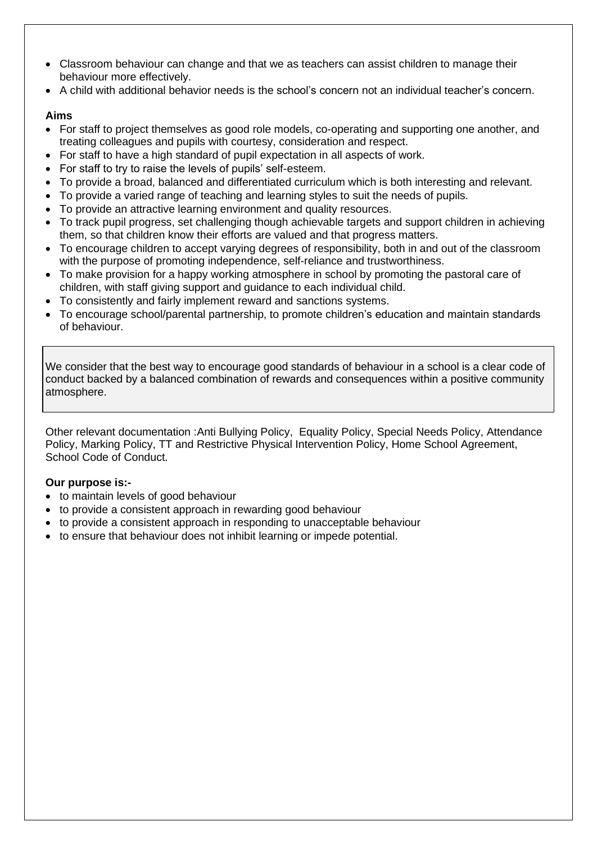- Classroom behaviour can change and that we as teachers can assist children to manage their behaviour more effectively.
- A child with additional behavior needs is the school's concern not an individual teacher's concern.

# **Aims**

- For staff to project themselves as good role models, co-operating and supporting one another, and treating colleagues and pupils with courtesy, consideration and respect.
- For staff to have a high standard of pupil expectation in all aspects of work.
- For staff to try to raise the levels of pupils' self-esteem.
- To provide a broad, balanced and differentiated curriculum which is both interesting and relevant.
- To provide a varied range of teaching and learning styles to suit the needs of pupils.
- To provide an attractive learning environment and quality resources.
- To track pupil progress, set challenging though achievable targets and support children in achieving them, so that children know their efforts are valued and that progress matters.
- To encourage children to accept varying degrees of responsibility, both in and out of the classroom with the purpose of promoting independence, self-reliance and trustworthiness.
- To make provision for a happy working atmosphere in school by promoting the pastoral care of children, with staff giving support and guidance to each individual child.
- To consistently and fairly implement reward and sanctions systems.
- To encourage school/parental partnership, to promote children's education and maintain standards of behaviour.

We consider that the best way to encourage good standards of behaviour in a school is a clear code of conduct backed by a balanced combination of rewards and consequences within a positive community atmosphere.

Other relevant documentation :Anti Bullying Policy, Equality Policy, Special Needs Policy, Attendance Policy, Marking Policy, TT and Restrictive Physical Intervention Policy, Home School Agreement, School Code of Conduct.

## **Our purpose is:-**

- to maintain levels of good behaviour
- to provide a consistent approach in rewarding good behaviour
- to provide a consistent approach in responding to unacceptable behaviour
- to ensure that behaviour does not inhibit learning or impede potential.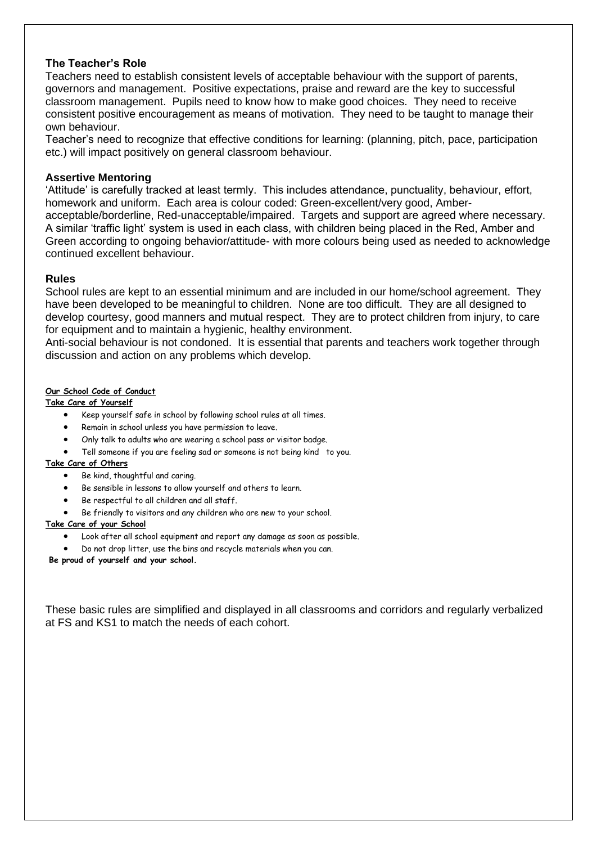#### **The Teacher's Role**

Teachers need to establish consistent levels of acceptable behaviour with the support of parents, governors and management. Positive expectations, praise and reward are the key to successful classroom management. Pupils need to know how to make good choices. They need to receive consistent positive encouragement as means of motivation. They need to be taught to manage their own behaviour.

Teacher's need to recognize that effective conditions for learning: (planning, pitch, pace, participation etc.) will impact positively on general classroom behaviour.

#### **Assertive Mentoring**

'Attitude' is carefully tracked at least termly. This includes attendance, punctuality, behaviour, effort, homework and uniform. Each area is colour coded: Green-excellent/very good, Amberacceptable/borderline, Red-unacceptable/impaired. Targets and support are agreed where necessary. A similar 'traffic light' system is used in each class, with children being placed in the Red, Amber and Green according to ongoing behavior/attitude- with more colours being used as needed to acknowledge continued excellent behaviour.

#### **Rules**

School rules are kept to an essential minimum and are included in our home/school agreement. They have been developed to be meaningful to children. None are too difficult. They are all designed to develop courtesy, good manners and mutual respect. They are to protect children from injury, to care for equipment and to maintain a hygienic, healthy environment.

Anti-social behaviour is not condoned. It is essential that parents and teachers work together through discussion and action on any problems which develop.

#### **Our School Code of Conduct**

#### **Take Care of Yourself**

- Keep yourself safe in school by following school rules at all times.
- Remain in school unless you have permission to leave.
- Only talk to adults who are wearing a school pass or visitor badge.
- Tell someone if you are feeling sad or someone is not being kind to you.

#### **Take Care of Others**

- Be kind, thoughtful and caring.
- Be sensible in lessons to allow yourself and others to learn.
- Be respectful to all children and all staff.
- Be friendly to visitors and any children who are new to your school.

#### **Take Care of your School**

- Look after all school equipment and report any damage as soon as possible.
- Do not drop litter, use the bins and recycle materials when you can.

**Be proud of yourself and your school.**

These basic rules are simplified and displayed in all classrooms and corridors and regularly verbalized at FS and KS1 to match the needs of each cohort.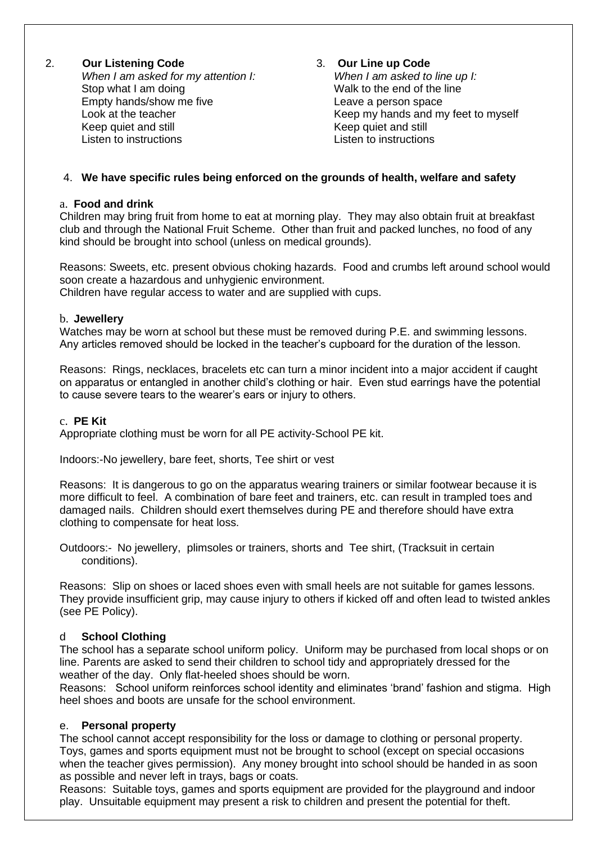# 2. **Our Listening Code** 3. **Our Line up Code**

*When I am asked for my attention I: When I am asked to line up I:* Stop what I am doing The Contract to the end of the line Empty hands/show me five Leave a person space Keep quiet and still Keep quiet and still Keep quiet and still<br>
Listen to instructions Listen to instructions

Look at the teacher **Keep my hands and my feet to myself** 

# 4. **We have specific rules being enforced on the grounds of health, welfare and safety**

## a. **Food and drink**

Children may bring fruit from home to eat at morning play. They may also obtain fruit at breakfast club and through the National Fruit Scheme. Other than fruit and packed lunches, no food of any kind should be brought into school (unless on medical grounds).

Reasons: Sweets, etc. present obvious choking hazards. Food and crumbs left around school would soon create a hazardous and unhygienic environment. Children have regular access to water and are supplied with cups.

#### b. **Jewellery**

Watches may be worn at school but these must be removed during P.E. and swimming lessons. Any articles removed should be locked in the teacher's cupboard for the duration of the lesson.

Reasons: Rings, necklaces, bracelets etc can turn a minor incident into a major accident if caught on apparatus or entangled in another child's clothing or hair. Even stud earrings have the potential to cause severe tears to the wearer's ears or injury to others.

#### c. **PE Kit**

Appropriate clothing must be worn for all PE activity-School PE kit.

Indoors:-No jewellery, bare feet, shorts, Tee shirt or vest

Reasons: It is dangerous to go on the apparatus wearing trainers or similar footwear because it is more difficult to feel. A combination of bare feet and trainers, etc. can result in trampled toes and damaged nails. Children should exert themselves during PE and therefore should have extra clothing to compensate for heat loss.

Outdoors:- No jewellery, plimsoles or trainers, shorts and Tee shirt, (Tracksuit in certain conditions).

Reasons: Slip on shoes or laced shoes even with small heels are not suitable for games lessons. They provide insufficient grip, may cause injury to others if kicked off and often lead to twisted ankles (see PE Policy).

## d **School Clothing**

The school has a separate school uniform policy. Uniform may be purchased from local shops or on line. Parents are asked to send their children to school tidy and appropriately dressed for the weather of the day. Only flat-heeled shoes should be worn.

Reasons: School uniform reinforces school identity and eliminates 'brand' fashion and stigma. High heel shoes and boots are unsafe for the school environment.

## e. **Personal property**

The school cannot accept responsibility for the loss or damage to clothing or personal property. Toys, games and sports equipment must not be brought to school (except on special occasions when the teacher gives permission). Any money brought into school should be handed in as soon as possible and never left in trays, bags or coats.

Reasons: Suitable toys, games and sports equipment are provided for the playground and indoor play. Unsuitable equipment may present a risk to children and present the potential for theft.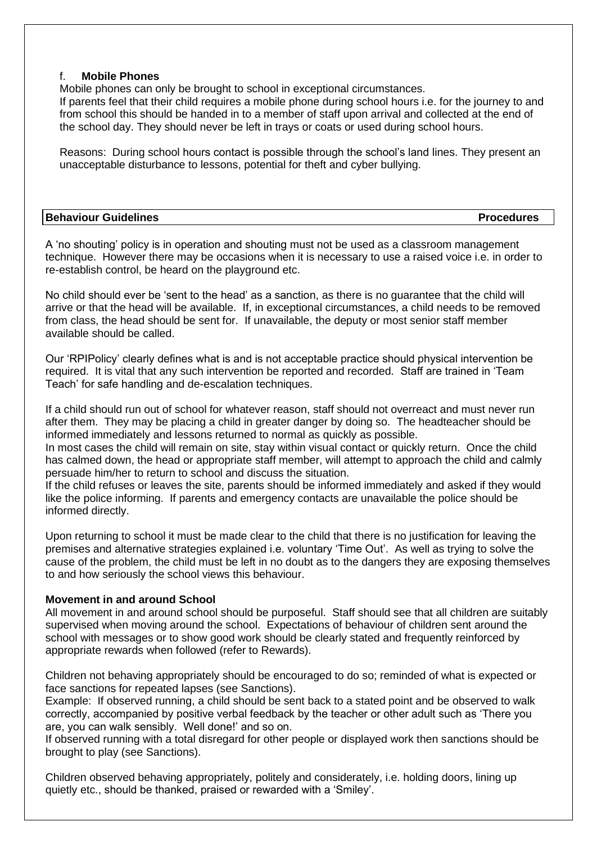#### f. **Mobile Phones**

Mobile phones can only be brought to school in exceptional circumstances.

If parents feel that their child requires a mobile phone during school hours i.e. for the journey to and from school this should be handed in to a member of staff upon arrival and collected at the end of the school day. They should never be left in trays or coats or used during school hours.

Reasons: During school hours contact is possible through the school's land lines. They present an unacceptable disturbance to lessons, potential for theft and cyber bullying.

| <b>Behaviour Guidelines</b> | <b>Procedures</b> |
|-----------------------------|-------------------|
|-----------------------------|-------------------|

A 'no shouting' policy is in operation and shouting must not be used as a classroom management technique. However there may be occasions when it is necessary to use a raised voice i.e. in order to re-establish control, be heard on the playground etc.

No child should ever be 'sent to the head' as a sanction, as there is no guarantee that the child will arrive or that the head will be available. If, in exceptional circumstances, a child needs to be removed from class, the head should be sent for. If unavailable, the deputy or most senior staff member available should be called.

Our 'RPIPolicy' clearly defines what is and is not acceptable practice should physical intervention be required. It is vital that any such intervention be reported and recorded. Staff are trained in 'Team Teach' for safe handling and de-escalation techniques.

If a child should run out of school for whatever reason, staff should not overreact and must never run after them. They may be placing a child in greater danger by doing so. The headteacher should be informed immediately and lessons returned to normal as quickly as possible.

In most cases the child will remain on site, stay within visual contact or quickly return. Once the child has calmed down, the head or appropriate staff member, will attempt to approach the child and calmly persuade him/her to return to school and discuss the situation.

If the child refuses or leaves the site, parents should be informed immediately and asked if they would like the police informing. If parents and emergency contacts are unavailable the police should be informed directly.

Upon returning to school it must be made clear to the child that there is no justification for leaving the premises and alternative strategies explained i.e. voluntary 'Time Out'. As well as trying to solve the cause of the problem, the child must be left in no doubt as to the dangers they are exposing themselves to and how seriously the school views this behaviour.

# **Movement in and around School**

All movement in and around school should be purposeful. Staff should see that all children are suitably supervised when moving around the school. Expectations of behaviour of children sent around the school with messages or to show good work should be clearly stated and frequently reinforced by appropriate rewards when followed (refer to Rewards).

Children not behaving appropriately should be encouraged to do so; reminded of what is expected or face sanctions for repeated lapses (see Sanctions).

Example: If observed running, a child should be sent back to a stated point and be observed to walk correctly, accompanied by positive verbal feedback by the teacher or other adult such as 'There you are, you can walk sensibly. Well done!' and so on.

If observed running with a total disregard for other people or displayed work then sanctions should be brought to play (see Sanctions).

Children observed behaving appropriately, politely and considerately, i.e. holding doors, lining up quietly etc., should be thanked, praised or rewarded with a 'Smiley'.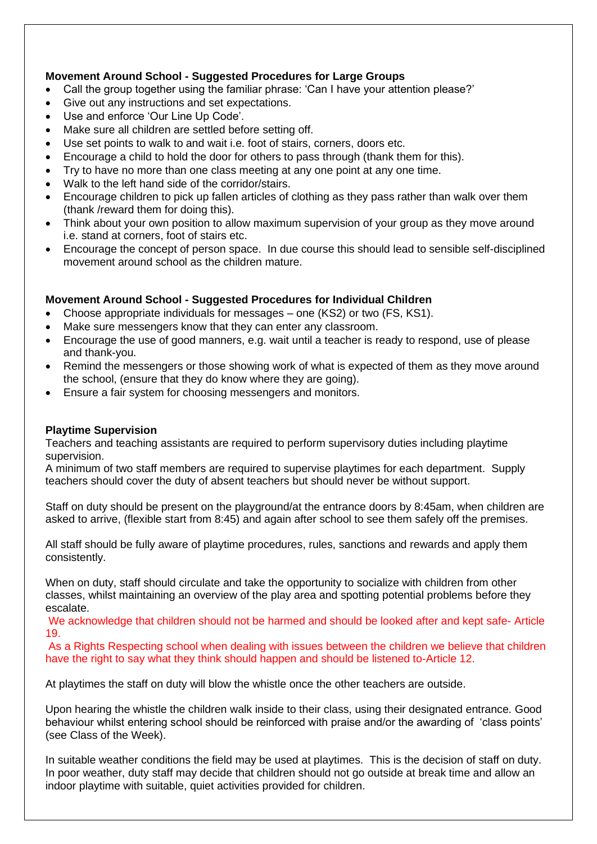# **Movement Around School - Suggested Procedures for Large Groups**

- Call the group together using the familiar phrase: 'Can I have your attention please?'
- Give out any instructions and set expectations.
- Use and enforce 'Our Line Up Code'.
- Make sure all children are settled before setting off.
- Use set points to walk to and wait i.e. foot of stairs, corners, doors etc.
- Encourage a child to hold the door for others to pass through (thank them for this).
- Try to have no more than one class meeting at any one point at any one time.
- Walk to the left hand side of the corridor/stairs.
- Encourage children to pick up fallen articles of clothing as they pass rather than walk over them (thank /reward them for doing this).
- Think about your own position to allow maximum supervision of your group as they move around i.e. stand at corners, foot of stairs etc.
- Encourage the concept of person space. In due course this should lead to sensible self-disciplined movement around school as the children mature.

# **Movement Around School - Suggested Procedures for Individual Children**

- Choose appropriate individuals for messages one (KS2) or two (FS, KS1).
- Make sure messengers know that they can enter any classroom.
- Encourage the use of good manners, e.g. wait until a teacher is ready to respond, use of please and thank-you.
- Remind the messengers or those showing work of what is expected of them as they move around the school, (ensure that they do know where they are going).
- Ensure a fair system for choosing messengers and monitors.

## **Playtime Supervision**

Teachers and teaching assistants are required to perform supervisory duties including playtime supervision.

A minimum of two staff members are required to supervise playtimes for each department. Supply teachers should cover the duty of absent teachers but should never be without support.

Staff on duty should be present on the playground/at the entrance doors by 8:45am, when children are asked to arrive, (flexible start from 8:45) and again after school to see them safely off the premises.

All staff should be fully aware of playtime procedures, rules, sanctions and rewards and apply them consistently.

When on duty, staff should circulate and take the opportunity to socialize with children from other classes, whilst maintaining an overview of the play area and spotting potential problems before they escalate.

We acknowledge that children should not be harmed and should be looked after and kept safe- Article 19.

As a Rights Respecting school when dealing with issues between the children we believe that children have the right to say what they think should happen and should be listened to-Article 12.

At playtimes the staff on duty will blow the whistle once the other teachers are outside.

Upon hearing the whistle the children walk inside to their class, using their designated entrance. Good behaviour whilst entering school should be reinforced with praise and/or the awarding of 'class points' (see Class of the Week).

In suitable weather conditions the field may be used at playtimes. This is the decision of staff on duty. In poor weather, duty staff may decide that children should not go outside at break time and allow an indoor playtime with suitable, quiet activities provided for children.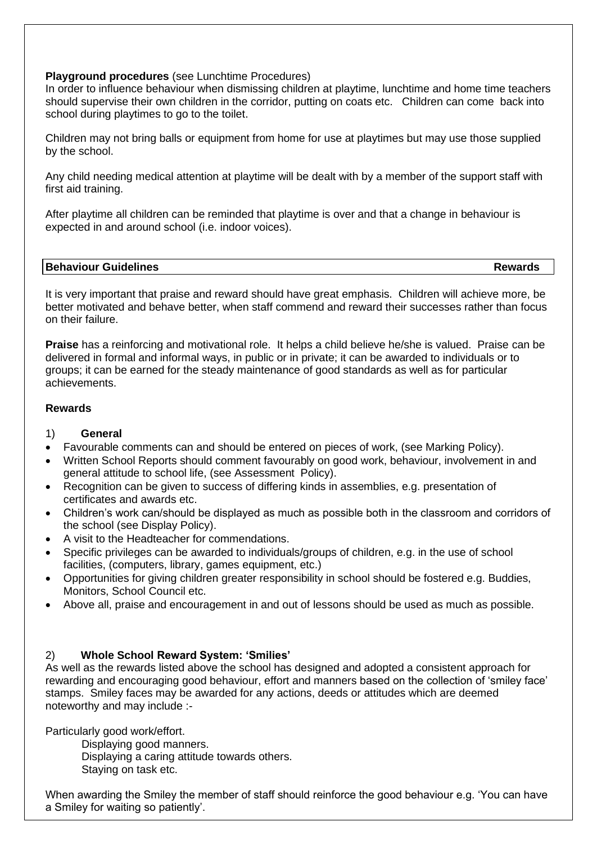#### **Playground procedures** (see Lunchtime Procedures)

In order to influence behaviour when dismissing children at playtime, lunchtime and home time teachers should supervise their own children in the corridor, putting on coats etc. Children can come back into school during playtimes to go to the toilet.

Children may not bring balls or equipment from home for use at playtimes but may use those supplied by the school.

Any child needing medical attention at playtime will be dealt with by a member of the support staff with first aid training.

After playtime all children can be reminded that playtime is over and that a change in behaviour is expected in and around school (i.e. indoor voices).

#### **Behaviour Guidelines Rewards**

It is very important that praise and reward should have great emphasis. Children will achieve more, be better motivated and behave better, when staff commend and reward their successes rather than focus on their failure.

**Praise** has a reinforcing and motivational role. It helps a child believe he/she is valued. Praise can be delivered in formal and informal ways, in public or in private; it can be awarded to individuals or to groups; it can be earned for the steady maintenance of good standards as well as for particular achievements.

## **Rewards**

## 1) **General**

- Favourable comments can and should be entered on pieces of work, (see Marking Policy).
- Written School Reports should comment favourably on good work, behaviour, involvement in and general attitude to school life, (see Assessment Policy).
- Recognition can be given to success of differing kinds in assemblies, e.g. presentation of certificates and awards etc.
- Children's work can/should be displayed as much as possible both in the classroom and corridors of the school (see Display Policy).
- A visit to the Headteacher for commendations.
- Specific privileges can be awarded to individuals/groups of children, e.g. in the use of school facilities, (computers, library, games equipment, etc.)
- Opportunities for giving children greater responsibility in school should be fostered e.g. Buddies, Monitors, School Council etc.
- Above all, praise and encouragement in and out of lessons should be used as much as possible.

## 2) **Whole School Reward System: 'Smilies'**

As well as the rewards listed above the school has designed and adopted a consistent approach for rewarding and encouraging good behaviour, effort and manners based on the collection of 'smiley face' stamps. Smiley faces may be awarded for any actions, deeds or attitudes which are deemed noteworthy and may include :-

Particularly good work/effort.

Displaying good manners. Displaying a caring attitude towards others. Staying on task etc.

When awarding the Smiley the member of staff should reinforce the good behaviour e.g. 'You can have a Smiley for waiting so patiently'.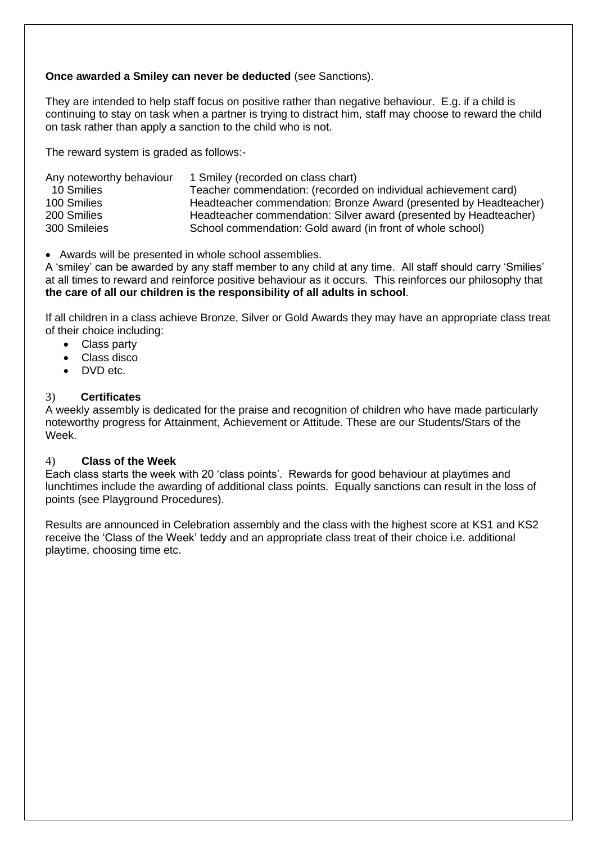# **Once awarded a Smiley can never be deducted** (see Sanctions).

They are intended to help staff focus on positive rather than negative behaviour. E.g. if a child is continuing to stay on task when a partner is trying to distract him, staff may choose to reward the child on task rather than apply a sanction to the child who is not.

The reward system is graded as follows:-

| Any noteworthy behaviour | 1 Smiley (recorded on class chart)                                |
|--------------------------|-------------------------------------------------------------------|
| 10 Smilies               | Teacher commendation: (recorded on individual achievement card)   |
| 100 Smilies              | Headteacher commendation: Bronze Award (presented by Headteacher) |
| 200 Smilies              | Headteacher commendation: Silver award (presented by Headteacher) |
| 300 Smileies             | School commendation: Gold award (in front of whole school)        |

• Awards will be presented in whole school assemblies.

A 'smiley' can be awarded by any staff member to any child at any time. All staff should carry 'Smilies' at all times to reward and reinforce positive behaviour as it occurs. This reinforces our philosophy that **the care of all our children is the responsibility of all adults in school**.

If all children in a class achieve Bronze, Silver or Gold Awards they may have an appropriate class treat of their choice including:

- Class party
- Class disco
- DVD etc.

## 3) **Certificates**

A weekly assembly is dedicated for the praise and recognition of children who have made particularly noteworthy progress for Attainment, Achievement or Attitude. These are our Students/Stars of the Week.

## 4) **Class of the Week**

Each class starts the week with 20 'class points'. Rewards for good behaviour at playtimes and lunchtimes include the awarding of additional class points. Equally sanctions can result in the loss of points (see Playground Procedures).

Results are announced in Celebration assembly and the class with the highest score at KS1 and KS2 receive the 'Class of the Week' teddy and an appropriate class treat of their choice i.e. additional playtime, choosing time etc.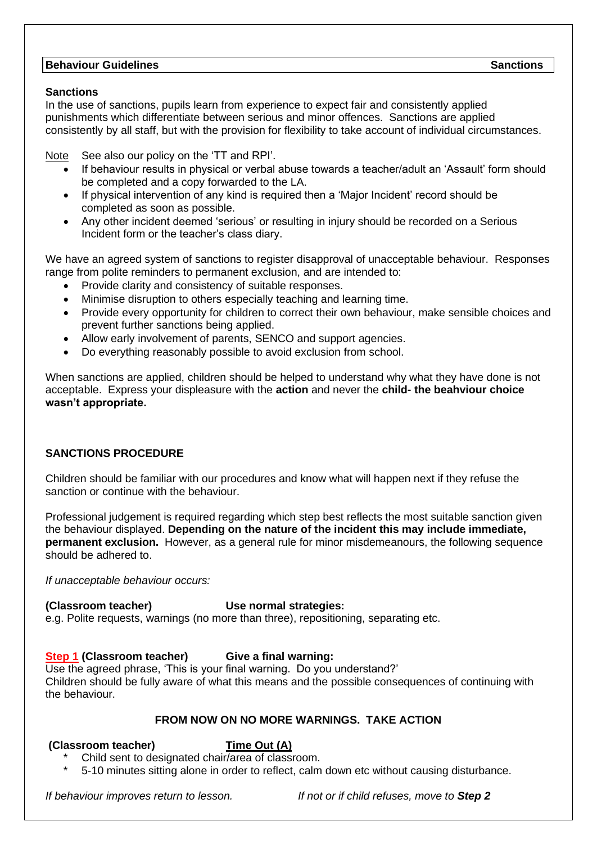# **Behaviour Guidelines** Sanctions Sanctions (Separations Sanctions Sanctions Sanctions Sanctions Sanctions Sanctions Sanctions Sanctions Sanctions Sanctions Sanctions (Separations Sanctions Sanctions Sanctions Sanctions San

#### **Sanctions**

In the use of sanctions, pupils learn from experience to expect fair and consistently applied punishments which differentiate between serious and minor offences. Sanctions are applied consistently by all staff, but with the provision for flexibility to take account of individual circumstances.

Note See also our policy on the 'TT and RPI'.

- If behaviour results in physical or verbal abuse towards a teacher/adult an 'Assault' form should be completed and a copy forwarded to the LA.
- If physical intervention of any kind is required then a 'Major Incident' record should be completed as soon as possible.
- Any other incident deemed 'serious' or resulting in injury should be recorded on a Serious Incident form or the teacher's class diary.

We have an agreed system of sanctions to register disapproval of unacceptable behaviour. Responses range from polite reminders to permanent exclusion, and are intended to:

- Provide clarity and consistency of suitable responses.
- Minimise disruption to others especially teaching and learning time.
- Provide every opportunity for children to correct their own behaviour, make sensible choices and prevent further sanctions being applied.
- Allow early involvement of parents, SENCO and support agencies.
- Do everything reasonably possible to avoid exclusion from school.

When sanctions are applied, children should be helped to understand why what they have done is not acceptable. Express your displeasure with the **action** and never the **child- the beahviour choice wasn't appropriate.**

# **SANCTIONS PROCEDURE**

Children should be familiar with our procedures and know what will happen next if they refuse the sanction or continue with the behaviour.

Professional judgement is required regarding which step best reflects the most suitable sanction given the behaviour displayed. **Depending on the nature of the incident this may include immediate, permanent exclusion.** However, as a general rule for minor misdemeanours, the following sequence should be adhered to.

*If unacceptable behaviour occurs:*

## **(Classroom teacher) Use normal strategies:**

e.g. Polite requests, warnings (no more than three), repositioning, separating etc.

# **Step 1 (Classroom teacher) Give a final warning:**

Use the agreed phrase, 'This is your final warning. Do you understand?' Children should be fully aware of what this means and the possible consequences of continuing with the behaviour.

# **FROM NOW ON NO MORE WARNINGS. TAKE ACTION**

## **(Classroom teacher) Time Out (A)**

- Child sent to designated chair/area of classroom.
- \* 5-10 minutes sitting alone in order to reflect, calm down etc without causing disturbance.

*If behaviour improves return to lesson. If not or if child refuses, move to Step 2*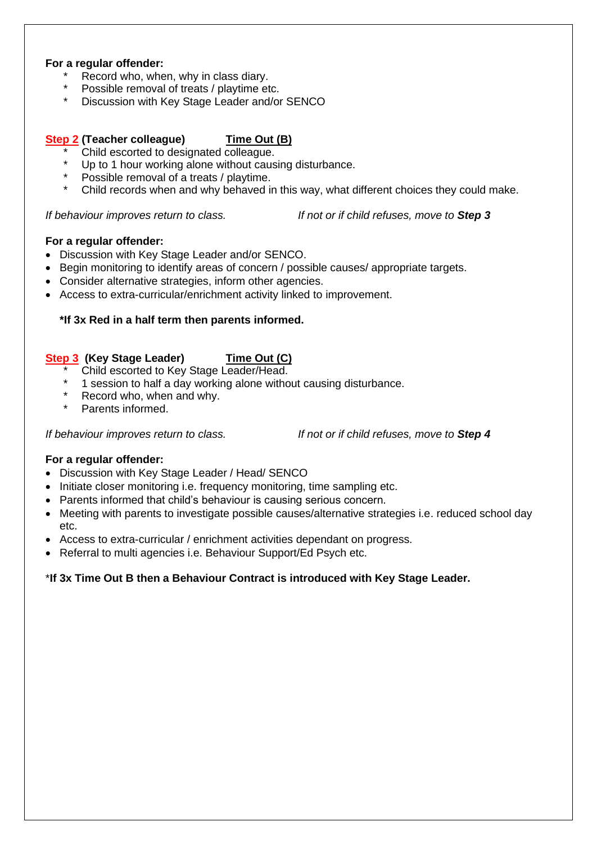#### **For a regular offender:**

- Record who, when, why in class diary.
- Possible removal of treats / playtime etc.
- Discussion with Key Stage Leader and/or SENCO

#### **Step 2 (Teacher colleague) Time Out (B)**

- \* Child escorted to designated colleague.
- Up to 1 hour working alone without causing disturbance.
- Possible removal of a treats / playtime.
- Child records when and why behaved in this way, what different choices they could make.

*If behaviour improves return to class. If not or if child refuses, move to Step 3*

#### **For a regular offender:**

- Discussion with Key Stage Leader and/or SENCO.
- Begin monitoring to identify areas of concern / possible causes/ appropriate targets.
- Consider alternative strategies, inform other agencies.
- Access to extra-curricular/enrichment activity linked to improvement.

## **\*If 3x Red in a half term then parents informed.**

## **Step 3 (Key Stage Leader) Time Out (C)**

- Child escorted to Key Stage Leader/Head.
- \* 1 session to half a day working alone without causing disturbance.
- Record who, when and why.
- Parents informed.

*If behaviour improves return to class. If not or if child refuses, move to Step 4*

#### **For a regular offender:**

- Discussion with Key Stage Leader / Head/ SENCO
- Initiate closer monitoring i.e. frequency monitoring, time sampling etc.
- Parents informed that child's behaviour is causing serious concern.
- Meeting with parents to investigate possible causes/alternative strategies i.e. reduced school day etc.
- Access to extra-curricular / enrichment activities dependant on progress.
- Referral to multi agencies i.e. Behaviour Support/Ed Psych etc.

## \***If 3x Time Out B then a Behaviour Contract is introduced with Key Stage Leader.**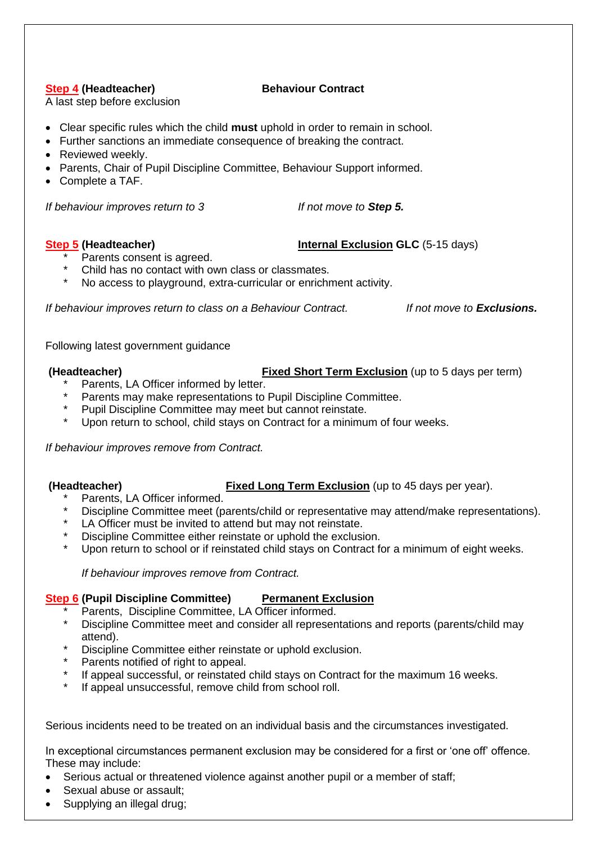# **Step 4 (Headteacher) Behaviour Contract**

A last step before exclusion

- Clear specific rules which the child **must** uphold in order to remain in school.
- Further sanctions an immediate consequence of breaking the contract.
- Reviewed weekly.
- Parents, Chair of Pupil Discipline Committee, Behaviour Support informed.
- Complete a TAF.

*If behaviour improves return to 3 If not move to Step 5.*

## **Step 5 (Headteacher) Internal Exclusion GLC** (5-15 days)

- Parents consent is agreed.
- \* Child has no contact with own class or classmates.
- No access to playground, extra-curricular or enrichment activity.

*If behaviour improves return to class on a Behaviour Contract. If not move to Exclusions.*

Following latest government guidance

- **(Headteacher) Fixed Short Term Exclusion** (up to 5 days per term)
	- Parents, LA Officer informed by letter.
	- Parents may make representations to Pupil Discipline Committee.
	- Pupil Discipline Committee may meet but cannot reinstate.
	- Upon return to school, child stays on Contract for a minimum of four weeks.

*If behaviour improves remove from Contract.*

**(Headteacher) Fixed Long Term Exclusion** (up to 45 days per year).

- Parents, LA Officer informed.
- Discipline Committee meet (parents/child or representative may attend/make representations).
- LA Officer must be invited to attend but may not reinstate.
- Discipline Committee either reinstate or uphold the exclusion.
- Upon return to school or if reinstated child stays on Contract for a minimum of eight weeks.

*If behaviour improves remove from Contract.* 

# **Step 6** (Pupil Discipline Committee) Permanent Exclusion

- Parents, Discipline Committee, LA Officer informed.
- Discipline Committee meet and consider all representations and reports (parents/child may attend).
- Discipline Committee either reinstate or uphold exclusion.
- Parents notified of right to appeal.
- \* If appeal successful, or reinstated child stays on Contract for the maximum 16 weeks.<br>\* If appeal unsuccessful, remove child from school roll
- If appeal unsuccessful, remove child from school roll.

Serious incidents need to be treated on an individual basis and the circumstances investigated.

In exceptional circumstances permanent exclusion may be considered for a first or 'one off' offence. These may include:

- Serious actual or threatened violence against another pupil or a member of staff;
- Sexual abuse or assault;
- Supplying an illegal drug;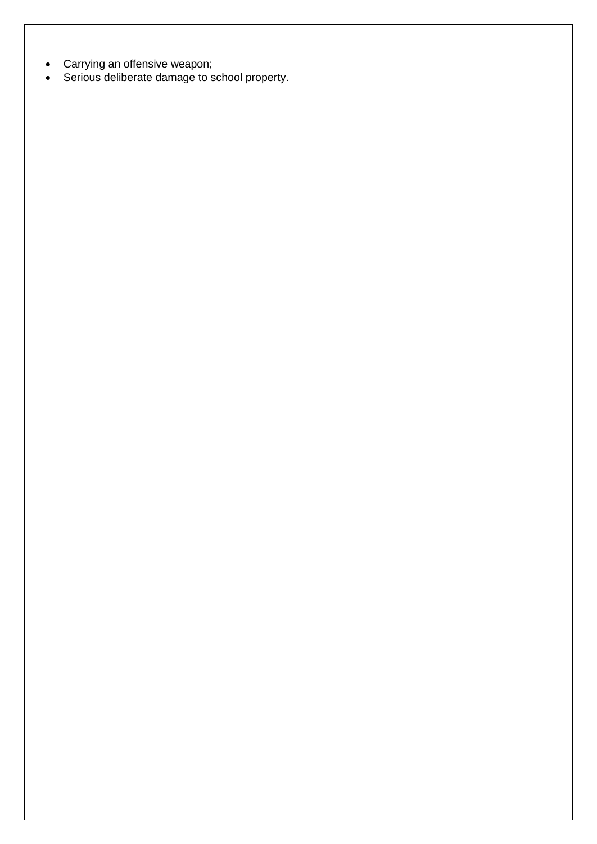- Carrying an offensive weapon;
- Serious deliberate damage to school property.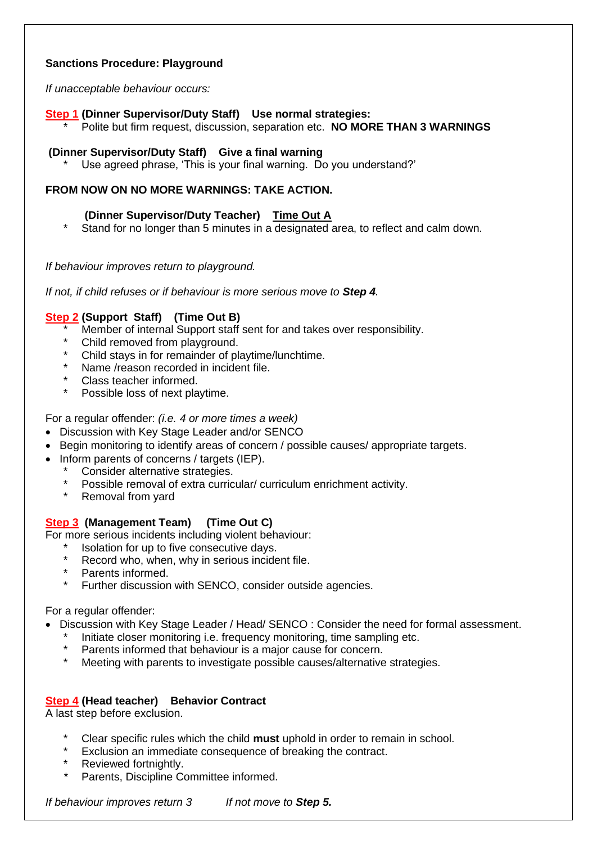# **Sanctions Procedure: Playground**

*If unacceptable behaviour occurs:*

## **Step 1 (Dinner Supervisor/Duty Staff) Use normal strategies:**

\* Polite but firm request, discussion, separation etc. **NO MORE THAN 3 WARNINGS**

#### **(Dinner Supervisor/Duty Staff) Give a final warning**

Use agreed phrase, 'This is your final warning. Do you understand?'

# **FROM NOW ON NO MORE WARNINGS: TAKE ACTION.**

# **(Dinner Supervisor/Duty Teacher) Time Out A**

Stand for no longer than 5 minutes in a designated area, to reflect and calm down.

#### *If behaviour improves return to playground.*

*If not, if child refuses or if behaviour is more serious move to Step 4.*

# **Step 2 (Support Staff) (Time Out B)**

- Member of internal Support staff sent for and takes over responsibility.
- Child removed from playground.
- Child stays in for remainder of playtime/lunchtime.
- Name /reason recorded in incident file.
- Class teacher informed.
- Possible loss of next playtime.

For a regular offender: *(i.e. 4 or more times a week)*

- Discussion with Key Stage Leader and/or SENCO
- Begin monitoring to identify areas of concern / possible causes/ appropriate targets.
- Inform parents of concerns / targets (IEP).
	- Consider alternative strategies.
	- \* Possible removal of extra curricular/ curriculum enrichment activity.<br>\* Removal from vard
	- Removal from yard

## **Step 3 (Management Team) (Time Out C)**

For more serious incidents including violent behaviour:

- Isolation for up to five consecutive days.
- Record who, when, why in serious incident file.
- Parents informed.
- Further discussion with SENCO, consider outside agencies.

#### For a regular offender:

- Discussion with Key Stage Leader / Head/ SENCO : Consider the need for formal assessment.
	- Initiate closer monitoring i.e. frequency monitoring, time sampling etc.
	- Parents informed that behaviour is a major cause for concern.
	- Meeting with parents to investigate possible causes/alternative strategies.

## **Step 4 (Head teacher) Behavior Contract**

A last step before exclusion.

- \* Clear specific rules which the child **must** uphold in order to remain in school.
- Exclusion an immediate consequence of breaking the contract.
- Reviewed fortnightly.
- Parents, Discipline Committee informed.

*If behaviour improves return 3 If not move to Step 5.*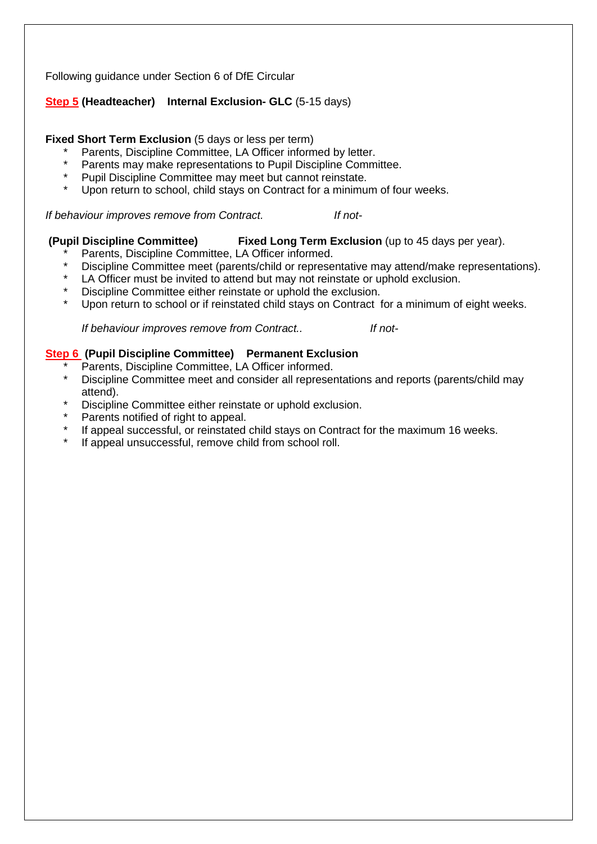Following guidance under Section 6 of DfE Circular

# **Step 5 (Headteacher) Internal Exclusion- GLC** (5-15 days)

## **Fixed Short Term Exclusion** (5 days or less per term)

- Parents, Discipline Committee, LA Officer informed by letter.
- \* Parents may make representations to Pupil Discipline Committee.
- \* Pupil Discipline Committee may meet but cannot reinstate.
- Upon return to school, child stays on Contract for a minimum of four weeks.

*If behaviour improves remove from Contract. If not-*

## **(Pupil Discipline Committee) Fixed Long Term Exclusion** (up to 45 days per year).

- Parents, Discipline Committee, LA Officer informed.
- Discipline Committee meet (parents/child or representative may attend/make representations).
- LA Officer must be invited to attend but may not reinstate or uphold exclusion.
- Discipline Committee either reinstate or uphold the exclusion.
- Upon return to school or if reinstated child stays on Contract for a minimum of eight weeks.

*If behaviour improves remove from Contract.. If not-*

## **Step 6 (Pupil Discipline Committee) Permanent Exclusion**

- Parents, Discipline Committee, LA Officer informed.
- Discipline Committee meet and consider all representations and reports (parents/child may attend).
- Discipline Committee either reinstate or uphold exclusion.
- Parents notified of right to appeal.
- If appeal successful, or reinstated child stays on Contract for the maximum 16 weeks.
- If appeal unsuccessful, remove child from school roll.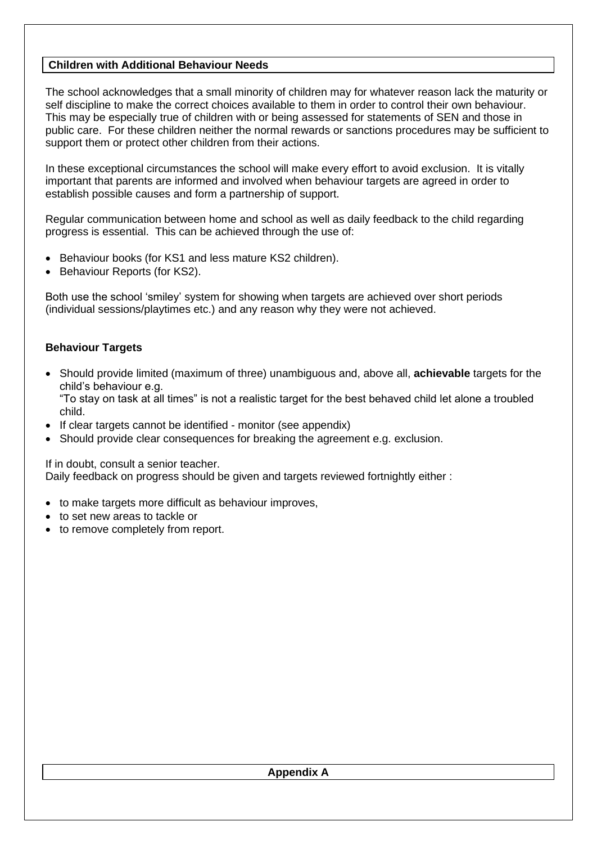# **Children with Additional Behaviour Needs**

The school acknowledges that a small minority of children may for whatever reason lack the maturity or self discipline to make the correct choices available to them in order to control their own behaviour. This may be especially true of children with or being assessed for statements of SEN and those in public care. For these children neither the normal rewards or sanctions procedures may be sufficient to support them or protect other children from their actions.

In these exceptional circumstances the school will make every effort to avoid exclusion. It is vitally important that parents are informed and involved when behaviour targets are agreed in order to establish possible causes and form a partnership of support.

Regular communication between home and school as well as daily feedback to the child regarding progress is essential. This can be achieved through the use of:

- Behaviour books (for KS1 and less mature KS2 children).
- Behaviour Reports (for KS2).

Both use the school 'smiley' system for showing when targets are achieved over short periods (individual sessions/playtimes etc.) and any reason why they were not achieved.

#### **Behaviour Targets**

• Should provide limited (maximum of three) unambiguous and, above all, **achievable** targets for the child's behaviour e.g.

"To stay on task at all times" is not a realistic target for the best behaved child let alone a troubled child.

- If clear targets cannot be identified monitor (see appendix)
- Should provide clear consequences for breaking the agreement e.g. exclusion.

If in doubt, consult a senior teacher.

Daily feedback on progress should be given and targets reviewed fortnightly either :

- to make targets more difficult as behaviour improves,
- to set new areas to tackle or
- to remove completely from report.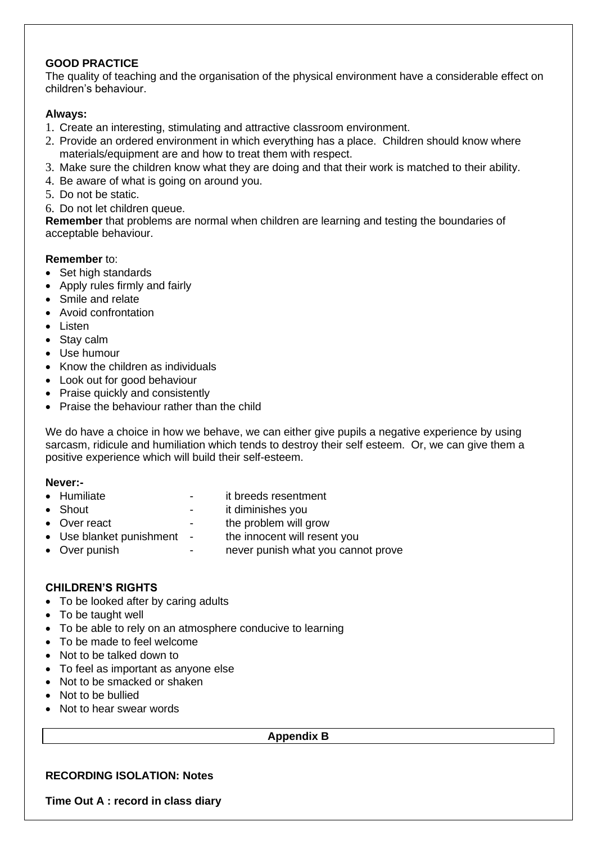# **GOOD PRACTICE**

The quality of teaching and the organisation of the physical environment have a considerable effect on children's behaviour.

# **Always:**

- 1. Create an interesting, stimulating and attractive classroom environment.
- 2. Provide an ordered environment in which everything has a place. Children should know where materials/equipment are and how to treat them with respect.
- 3. Make sure the children know what they are doing and that their work is matched to their ability.
- 4. Be aware of what is going on around you.
- 5. Do not be static.
- 6. Do not let children queue.

**Remember** that problems are normal when children are learning and testing the boundaries of acceptable behaviour.

# **Remember** to:

- Set high standards
- Apply rules firmly and fairly
- Smile and relate
- Avoid confrontation
- Listen
- Stay calm
- Use humour
- Know the children as individuals
- Look out for good behaviour
- Praise quickly and consistently
- Praise the behaviour rather than the child

We do have a choice in how we behave, we can either give pupils a negative experience by using sarcasm, ridicule and humiliation which tends to destroy their self esteem. Or, we can give them a positive experience which will build their self-esteem.

## **Never:-**

- Humiliate **Fig. 2018** it breeds resentment
- Shout **-** it diminishes you
- Over react The problem will grow
- Use blanket punishment the innocent will resent you
	-
- Over punish **come contact of the set of the contact of the contact of the contact of the Contact of Contact A**

# **CHILDREN'S RIGHTS**

- To be looked after by caring adults
- To be taught well
- To be able to rely on an atmosphere conducive to learning
- To be made to feel welcome
- Not to be talked down to
- To feel as important as anyone else
- Not to be smacked or shaken
- Not to be bullied
- Not to hear swear words

#### **Appendix B**

# **RECORDING ISOLATION: Notes**

**Time Out A : record in class diary**